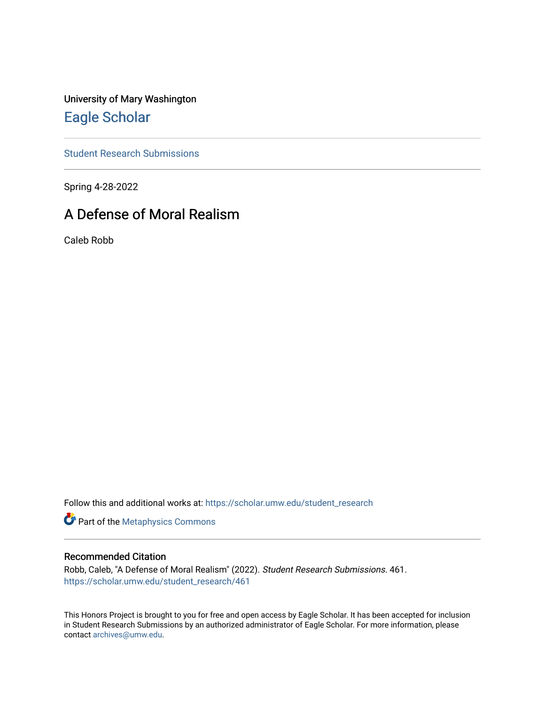University of Mary Washington [Eagle Scholar](https://scholar.umw.edu/) 

[Student Research Submissions](https://scholar.umw.edu/student_research) 

Spring 4-28-2022

## A Defense of Moral Realism

Caleb Robb

Follow this and additional works at: [https://scholar.umw.edu/student\\_research](https://scholar.umw.edu/student_research?utm_source=scholar.umw.edu%2Fstudent_research%2F461&utm_medium=PDF&utm_campaign=PDFCoverPages)

**Part of the [Metaphysics Commons](https://network.bepress.com/hgg/discipline/533?utm_source=scholar.umw.edu%2Fstudent_research%2F461&utm_medium=PDF&utm_campaign=PDFCoverPages)** 

## Recommended Citation

Robb, Caleb, "A Defense of Moral Realism" (2022). Student Research Submissions. 461. [https://scholar.umw.edu/student\\_research/461](https://scholar.umw.edu/student_research/461?utm_source=scholar.umw.edu%2Fstudent_research%2F461&utm_medium=PDF&utm_campaign=PDFCoverPages)

This Honors Project is brought to you for free and open access by Eagle Scholar. It has been accepted for inclusion in Student Research Submissions by an authorized administrator of Eagle Scholar. For more information, please contact [archives@umw.edu](mailto:archives@umw.edu).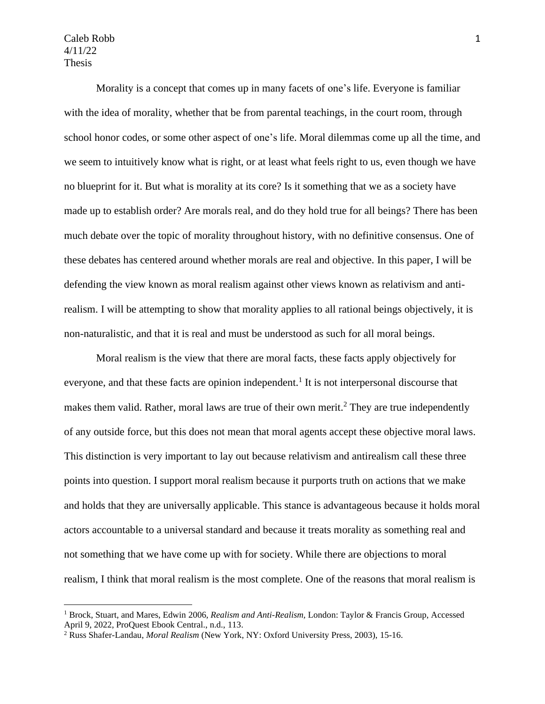Morality is a concept that comes up in many facets of one's life. Everyone is familiar with the idea of morality, whether that be from parental teachings, in the court room, through school honor codes, or some other aspect of one's life. Moral dilemmas come up all the time, and we seem to intuitively know what is right, or at least what feels right to us, even though we have no blueprint for it. But what is morality at its core? Is it something that we as a society have made up to establish order? Are morals real, and do they hold true for all beings? There has been much debate over the topic of morality throughout history, with no definitive consensus. One of these debates has centered around whether morals are real and objective. In this paper, I will be defending the view known as moral realism against other views known as relativism and antirealism. I will be attempting to show that morality applies to all rational beings objectively, it is non-naturalistic, and that it is real and must be understood as such for all moral beings.

Moral realism is the view that there are moral facts, these facts apply objectively for everyone, and that these facts are opinion independent.<sup>1</sup> It is not interpersonal discourse that makes them valid. Rather, moral laws are true of their own merit.<sup>2</sup> They are true independently of any outside force, but this does not mean that moral agents accept these objective moral laws. This distinction is very important to lay out because relativism and antirealism call these three points into question. I support moral realism because it purports truth on actions that we make and holds that they are universally applicable. This stance is advantageous because it holds moral actors accountable to a universal standard and because it treats morality as something real and not something that we have come up with for society. While there are objections to moral realism, I think that moral realism is the most complete. One of the reasons that moral realism is

<sup>1</sup> Brock, Stuart, and Mares, Edwin 2006*, Realism and Anti-Realism,* London: Taylor & Francis Group, Accessed April 9, 2022, ProQuest Ebook Central., n.d., 113.

<sup>2</sup> Russ Shafer-Landau, *Moral Realism* (New York, NY: Oxford University Press, 2003), 15-16.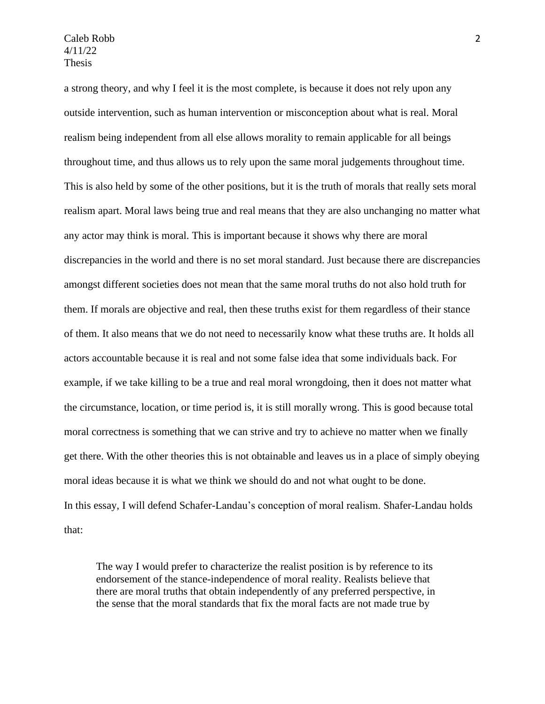a strong theory, and why I feel it is the most complete, is because it does not rely upon any outside intervention, such as human intervention or misconception about what is real. Moral realism being independent from all else allows morality to remain applicable for all beings throughout time, and thus allows us to rely upon the same moral judgements throughout time. This is also held by some of the other positions, but it is the truth of morals that really sets moral realism apart. Moral laws being true and real means that they are also unchanging no matter what any actor may think is moral. This is important because it shows why there are moral discrepancies in the world and there is no set moral standard. Just because there are discrepancies amongst different societies does not mean that the same moral truths do not also hold truth for them. If morals are objective and real, then these truths exist for them regardless of their stance of them. It also means that we do not need to necessarily know what these truths are. It holds all actors accountable because it is real and not some false idea that some individuals back. For example, if we take killing to be a true and real moral wrongdoing, then it does not matter what the circumstance, location, or time period is, it is still morally wrong. This is good because total moral correctness is something that we can strive and try to achieve no matter when we finally get there. With the other theories this is not obtainable and leaves us in a place of simply obeying moral ideas because it is what we think we should do and not what ought to be done. In this essay, I will defend Schafer-Landau's conception of moral realism. Shafer-Landau holds that:

The way I would prefer to characterize the realist position is by reference to its endorsement of the stance-independence of moral reality. Realists believe that there are moral truths that obtain independently of any preferred perspective, in the sense that the moral standards that fix the moral facts are not made true by

2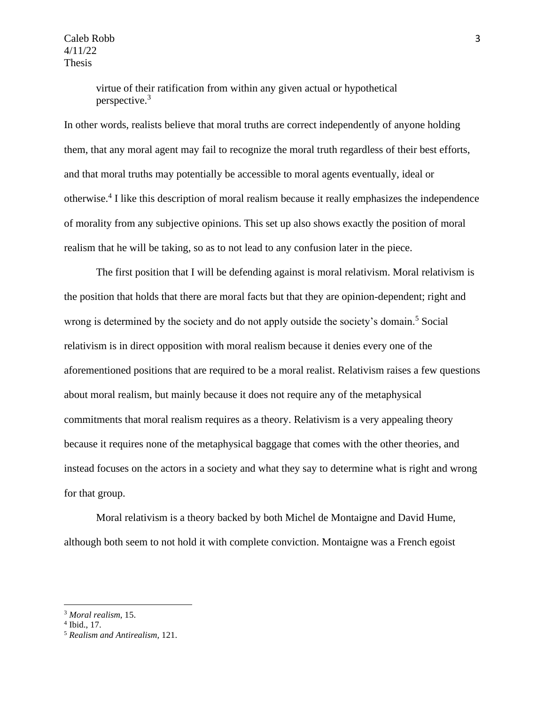> virtue of their ratification from within any given actual or hypothetical perspective.<sup>3</sup>

In other words, realists believe that moral truths are correct independently of anyone holding them, that any moral agent may fail to recognize the moral truth regardless of their best efforts, and that moral truths may potentially be accessible to moral agents eventually, ideal or otherwise.<sup>4</sup> I like this description of moral realism because it really emphasizes the independence of morality from any subjective opinions. This set up also shows exactly the position of moral realism that he will be taking, so as to not lead to any confusion later in the piece.

The first position that I will be defending against is moral relativism. Moral relativism is the position that holds that there are moral facts but that they are opinion-dependent; right and wrong is determined by the society and do not apply outside the society's domain.<sup>5</sup> Social relativism is in direct opposition with moral realism because it denies every one of the aforementioned positions that are required to be a moral realist. Relativism raises a few questions about moral realism, but mainly because it does not require any of the metaphysical commitments that moral realism requires as a theory. Relativism is a very appealing theory because it requires none of the metaphysical baggage that comes with the other theories, and instead focuses on the actors in a society and what they say to determine what is right and wrong for that group.

Moral relativism is a theory backed by both Michel de Montaigne and David Hume, although both seem to not hold it with complete conviction. Montaigne was a French egoist

<sup>3</sup> *Moral realism*, 15.

<sup>4</sup> Ibid., 17.

<sup>5</sup> *Realism and Antirealism,* 121.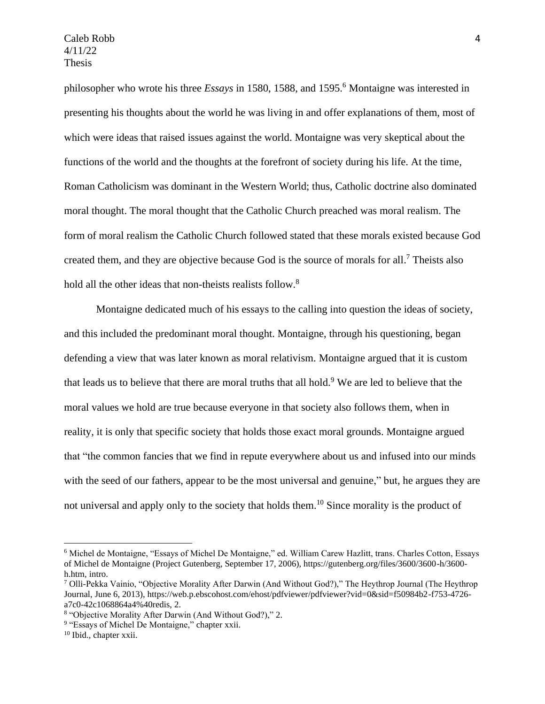philosopher who wrote his three *Essays* in 1580, 1588, and 1595.<sup>6</sup> Montaigne was interested in presenting his thoughts about the world he was living in and offer explanations of them, most of which were ideas that raised issues against the world. Montaigne was very skeptical about the functions of the world and the thoughts at the forefront of society during his life. At the time, Roman Catholicism was dominant in the Western World; thus, Catholic doctrine also dominated moral thought. The moral thought that the Catholic Church preached was moral realism. The form of moral realism the Catholic Church followed stated that these morals existed because God created them, and they are objective because God is the source of morals for all.<sup>7</sup> Theists also hold all the other ideas that non-theists realists follow.<sup>8</sup>

Montaigne dedicated much of his essays to the calling into question the ideas of society, and this included the predominant moral thought. Montaigne, through his questioning, began defending a view that was later known as moral relativism. Montaigne argued that it is custom that leads us to believe that there are moral truths that all hold.<sup>9</sup> We are led to believe that the moral values we hold are true because everyone in that society also follows them, when in reality, it is only that specific society that holds those exact moral grounds. Montaigne argued that "the common fancies that we find in repute everywhere about us and infused into our minds with the seed of our fathers, appear to be the most universal and genuine," but, he argues they are not universal and apply only to the society that holds them.<sup>10</sup> Since morality is the product of

<sup>6</sup> Michel de Montaigne, "Essays of Michel De Montaigne," ed. William Carew Hazlitt, trans. Charles Cotton, Essays of Michel de Montaigne (Project Gutenberg, September 17, 2006), https://gutenberg.org/files/3600/3600-h/3600 h.htm, intro.

<sup>7</sup> Olli-Pekka Vainio, "Objective Morality After Darwin (And Without God?)," The Heythrop Journal (The Heythrop Journal, June 6, 2013), https://web.p.ebscohost.com/ehost/pdfviewer/pdfviewer?vid=0&sid=f50984b2-f753-4726 a7c0-42c1068864a4%40redis, 2.

<sup>8</sup> "Objective Morality After Darwin (And Without God?)," 2.

<sup>&</sup>lt;sup>9</sup> "Essays of Michel De Montaigne," chapter xxii.

<sup>10</sup> Ibid., chapter xxii.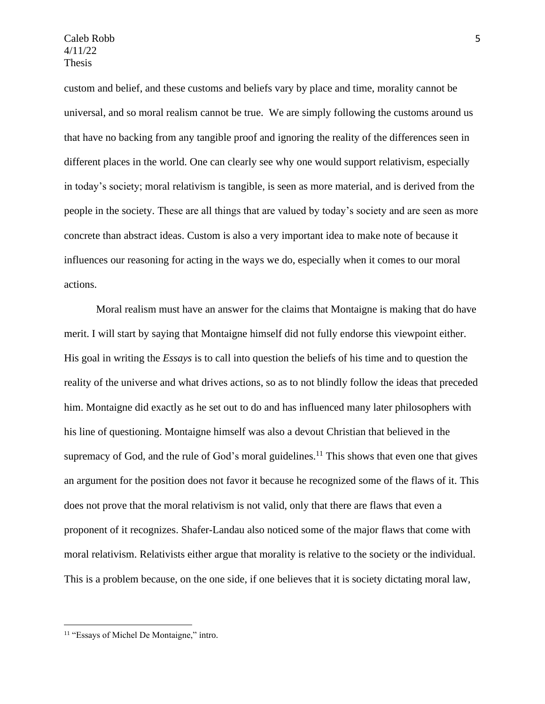custom and belief, and these customs and beliefs vary by place and time, morality cannot be universal, and so moral realism cannot be true. We are simply following the customs around us that have no backing from any tangible proof and ignoring the reality of the differences seen in different places in the world. One can clearly see why one would support relativism, especially in today's society; moral relativism is tangible, is seen as more material, and is derived from the people in the society. These are all things that are valued by today's society and are seen as more concrete than abstract ideas. Custom is also a very important idea to make note of because it influences our reasoning for acting in the ways we do, especially when it comes to our moral actions.

Moral realism must have an answer for the claims that Montaigne is making that do have merit. I will start by saying that Montaigne himself did not fully endorse this viewpoint either. His goal in writing the *Essays* is to call into question the beliefs of his time and to question the reality of the universe and what drives actions, so as to not blindly follow the ideas that preceded him. Montaigne did exactly as he set out to do and has influenced many later philosophers with his line of questioning. Montaigne himself was also a devout Christian that believed in the supremacy of God, and the rule of God's moral guidelines.<sup>11</sup> This shows that even one that gives an argument for the position does not favor it because he recognized some of the flaws of it. This does not prove that the moral relativism is not valid, only that there are flaws that even a proponent of it recognizes. Shafer-Landau also noticed some of the major flaws that come with moral relativism. Relativists either argue that morality is relative to the society or the individual. This is a problem because, on the one side, if one believes that it is society dictating moral law,

<sup>&</sup>lt;sup>11</sup> "Essays of Michel De Montaigne," intro.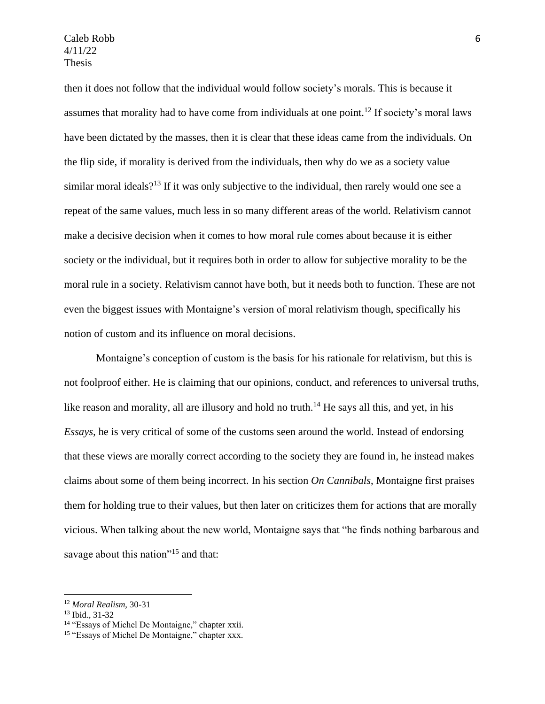then it does not follow that the individual would follow society's morals. This is because it assumes that morality had to have come from individuals at one point.<sup>12</sup> If society's moral laws have been dictated by the masses, then it is clear that these ideas came from the individuals. On the flip side, if morality is derived from the individuals, then why do we as a society value similar moral ideals?<sup>13</sup> If it was only subjective to the individual, then rarely would one see a repeat of the same values, much less in so many different areas of the world. Relativism cannot make a decisive decision when it comes to how moral rule comes about because it is either society or the individual, but it requires both in order to allow for subjective morality to be the moral rule in a society. Relativism cannot have both, but it needs both to function. These are not even the biggest issues with Montaigne's version of moral relativism though, specifically his notion of custom and its influence on moral decisions.

Montaigne's conception of custom is the basis for his rationale for relativism, but this is not foolproof either. He is claiming that our opinions, conduct, and references to universal truths, like reason and morality, all are illusory and hold no truth.<sup>14</sup> He says all this, and yet, in his *Essays,* he is very critical of some of the customs seen around the world. Instead of endorsing that these views are morally correct according to the society they are found in, he instead makes claims about some of them being incorrect. In his section *On Cannibals*, Montaigne first praises them for holding true to their values, but then later on criticizes them for actions that are morally vicious. When talking about the new world, Montaigne says that "he finds nothing barbarous and savage about this nation"<sup>15</sup> and that:

<sup>12</sup> *Moral Realism*, 30-31

<sup>13</sup> Ibid., 31-32

<sup>&</sup>lt;sup>14</sup> "Essays of Michel De Montaigne," chapter xxii.

<sup>&</sup>lt;sup>15</sup> "Essays of Michel De Montaigne," chapter xxx.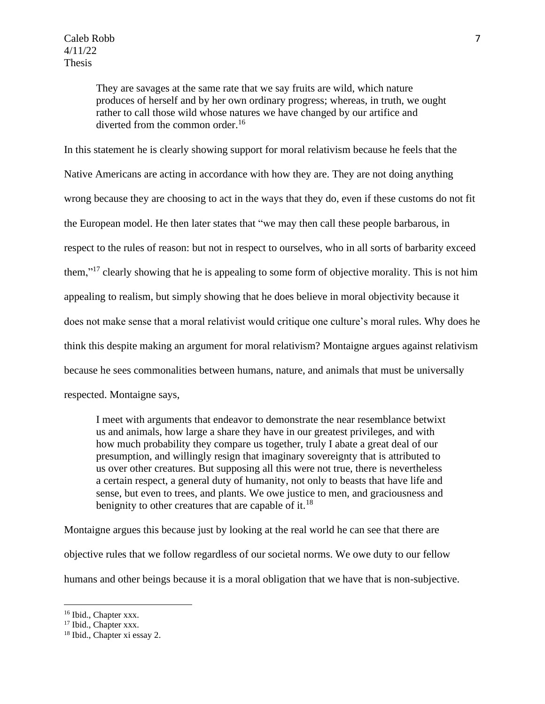They are savages at the same rate that we say fruits are wild, which nature produces of herself and by her own ordinary progress; whereas, in truth, we ought rather to call those wild whose natures we have changed by our artifice and diverted from the common order.<sup>16</sup>

In this statement he is clearly showing support for moral relativism because he feels that the Native Americans are acting in accordance with how they are. They are not doing anything wrong because they are choosing to act in the ways that they do, even if these customs do not fit the European model. He then later states that "we may then call these people barbarous, in respect to the rules of reason: but not in respect to ourselves, who in all sorts of barbarity exceed them,"<sup>17</sup> clearly showing that he is appealing to some form of objective morality. This is not him appealing to realism, but simply showing that he does believe in moral objectivity because it does not make sense that a moral relativist would critique one culture's moral rules. Why does he think this despite making an argument for moral relativism? Montaigne argues against relativism because he sees commonalities between humans, nature, and animals that must be universally respected. Montaigne says,

I meet with arguments that endeavor to demonstrate the near resemblance betwixt us and animals, how large a share they have in our greatest privileges, and with how much probability they compare us together, truly I abate a great deal of our presumption, and willingly resign that imaginary sovereignty that is attributed to us over other creatures. But supposing all this were not true, there is nevertheless a certain respect, a general duty of humanity, not only to beasts that have life and sense, but even to trees, and plants. We owe justice to men, and graciousness and benignity to other creatures that are capable of it.<sup>18</sup>

Montaigne argues this because just by looking at the real world he can see that there are objective rules that we follow regardless of our societal norms. We owe duty to our fellow humans and other beings because it is a moral obligation that we have that is non-subjective.

<sup>&</sup>lt;sup>16</sup> Ibid., Chapter xxx.

<sup>&</sup>lt;sup>17</sup> Ibid., Chapter xxx.

<sup>18</sup> Ibid., Chapter xi essay 2.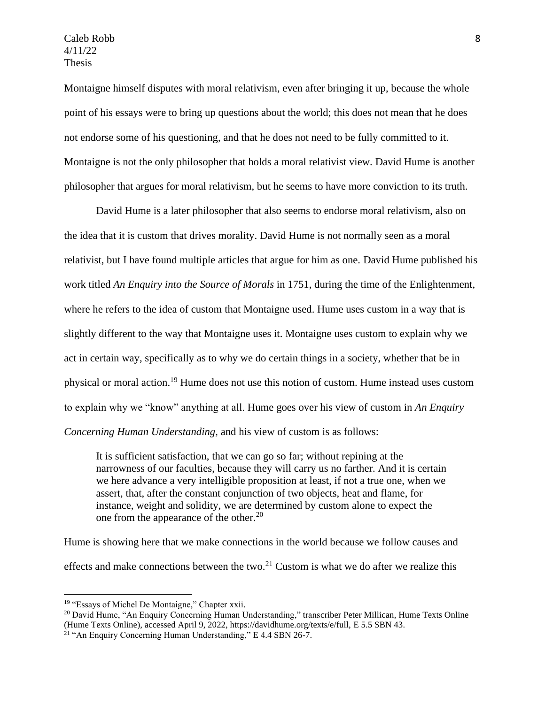Montaigne himself disputes with moral relativism, even after bringing it up, because the whole point of his essays were to bring up questions about the world; this does not mean that he does not endorse some of his questioning, and that he does not need to be fully committed to it. Montaigne is not the only philosopher that holds a moral relativist view. David Hume is another philosopher that argues for moral relativism, but he seems to have more conviction to its truth.

David Hume is a later philosopher that also seems to endorse moral relativism, also on the idea that it is custom that drives morality. David Hume is not normally seen as a moral relativist, but I have found multiple articles that argue for him as one. David Hume published his work titled *An Enquiry into the Source of Morals* in 1751, during the time of the Enlightenment, where he refers to the idea of custom that Montaigne used. Hume uses custom in a way that is slightly different to the way that Montaigne uses it. Montaigne uses custom to explain why we act in certain way, specifically as to why we do certain things in a society, whether that be in physical or moral action.<sup>19</sup> Hume does not use this notion of custom. Hume instead uses custom to explain why we "know" anything at all. Hume goes over his view of custom in *An Enquiry Concerning Human Understanding,* and his view of custom is as follows:

It is sufficient satisfaction, that we can go so far; without repining at the narrowness of our faculties, because they will carry us no farther. And it is certain we here advance a very intelligible proposition at least, if not a true one, when we assert, that, after the constant conjunction of two objects, heat and flame, for instance, weight and solidity, we are determined by custom alone to expect the one from the appearance of the other.<sup>20</sup>

Hume is showing here that we make connections in the world because we follow causes and effects and make connections between the two.<sup>21</sup> Custom is what we do after we realize this

<sup>&</sup>lt;sup>19</sup> "Essays of Michel De Montaigne," Chapter xxii.

<sup>&</sup>lt;sup>20</sup> David Hume, "An Enquiry Concerning Human Understanding," transcriber Peter Millican, Hume Texts Online (Hume Texts Online), accessed April 9, 2022, https://davidhume.org/texts/e/full, E 5.5 SBN 43.

<sup>&</sup>lt;sup>21</sup> "An Enquiry Concerning Human Understanding," E 4.4 SBN 26-7.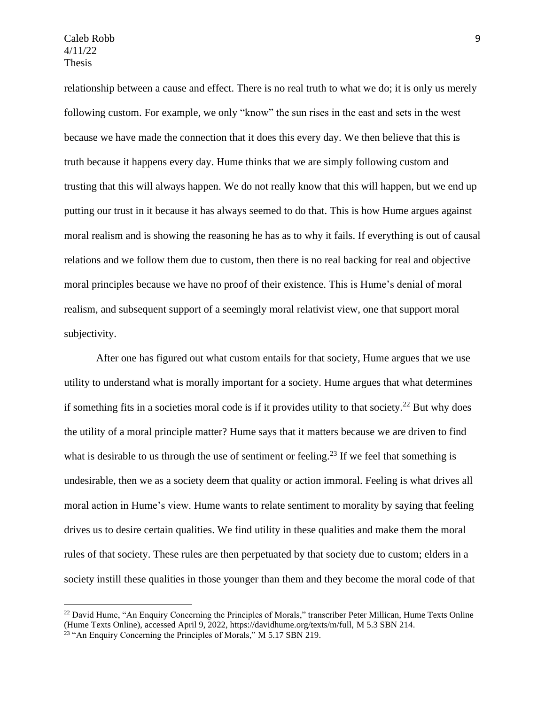relationship between a cause and effect. There is no real truth to what we do; it is only us merely following custom. For example, we only "know" the sun rises in the east and sets in the west because we have made the connection that it does this every day. We then believe that this is truth because it happens every day. Hume thinks that we are simply following custom and trusting that this will always happen. We do not really know that this will happen, but we end up putting our trust in it because it has always seemed to do that. This is how Hume argues against moral realism and is showing the reasoning he has as to why it fails. If everything is out of causal relations and we follow them due to custom, then there is no real backing for real and objective moral principles because we have no proof of their existence. This is Hume's denial of moral realism, and subsequent support of a seemingly moral relativist view, one that support moral subjectivity.

After one has figured out what custom entails for that society, Hume argues that we use utility to understand what is morally important for a society. Hume argues that what determines if something fits in a societies moral code is if it provides utility to that society.<sup>22</sup> But why does the utility of a moral principle matter? Hume says that it matters because we are driven to find what is desirable to us through the use of sentiment or feeling.<sup>23</sup> If we feel that something is undesirable, then we as a society deem that quality or action immoral. Feeling is what drives all moral action in Hume's view. Hume wants to relate sentiment to morality by saying that feeling drives us to desire certain qualities. We find utility in these qualities and make them the moral rules of that society. These rules are then perpetuated by that society due to custom; elders in a society instill these qualities in those younger than them and they become the moral code of that

<sup>&</sup>lt;sup>22</sup> David Hume, "An Enquiry Concerning the Principles of Morals," transcriber Peter Millican, Hume Texts Online (Hume Texts Online), accessed April 9, 2022, https://davidhume.org/texts/m/full, M 5.3 SBN 214.

<sup>&</sup>lt;sup>23</sup> "An Enquiry Concerning the Principles of Morals," M 5.17 SBN 219.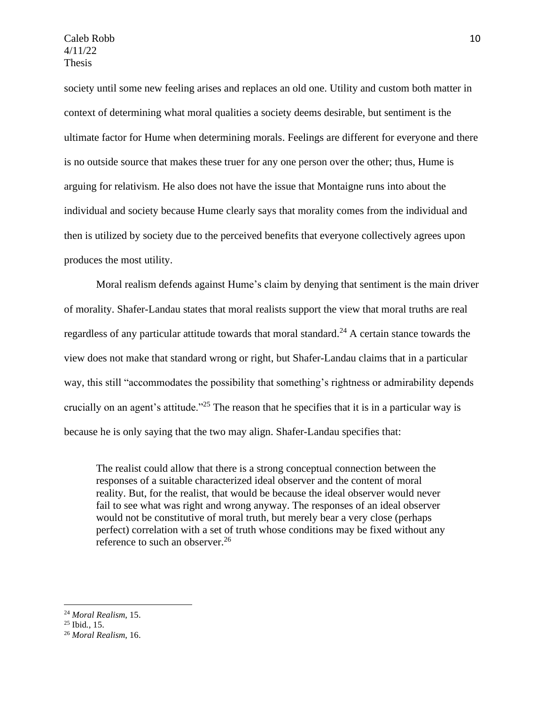society until some new feeling arises and replaces an old one. Utility and custom both matter in context of determining what moral qualities a society deems desirable, but sentiment is the ultimate factor for Hume when determining morals. Feelings are different for everyone and there is no outside source that makes these truer for any one person over the other; thus, Hume is arguing for relativism. He also does not have the issue that Montaigne runs into about the individual and society because Hume clearly says that morality comes from the individual and then is utilized by society due to the perceived benefits that everyone collectively agrees upon produces the most utility.

Moral realism defends against Hume's claim by denying that sentiment is the main driver of morality. Shafer-Landau states that moral realists support the view that moral truths are real regardless of any particular attitude towards that moral standard.<sup>24</sup> A certain stance towards the view does not make that standard wrong or right, but Shafer-Landau claims that in a particular way, this still "accommodates the possibility that something's rightness or admirability depends crucially on an agent's attitude."<sup>25</sup> The reason that he specifies that it is in a particular way is because he is only saying that the two may align. Shafer-Landau specifies that:

The realist could allow that there is a strong conceptual connection between the responses of a suitable characterized ideal observer and the content of moral reality. But, for the realist, that would be because the ideal observer would never fail to see what was right and wrong anyway. The responses of an ideal observer would not be constitutive of moral truth, but merely bear a very close (perhaps perfect) correlation with a set of truth whose conditions may be fixed without any reference to such an observer.<sup>26</sup>

<sup>24</sup> *Moral Realism*, 15.

<sup>25</sup> Ibid*.*, 15.

<sup>26</sup> *Moral Realism*, 16.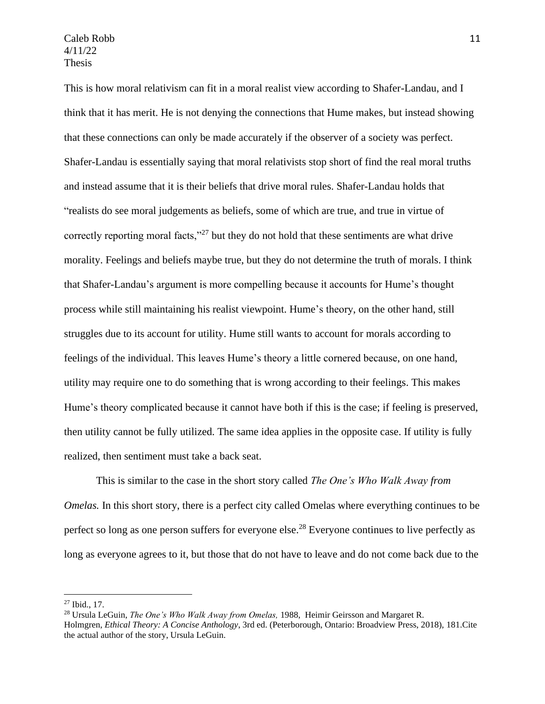This is how moral relativism can fit in a moral realist view according to Shafer-Landau, and I think that it has merit. He is not denying the connections that Hume makes, but instead showing that these connections can only be made accurately if the observer of a society was perfect. Shafer-Landau is essentially saying that moral relativists stop short of find the real moral truths and instead assume that it is their beliefs that drive moral rules. Shafer-Landau holds that "realists do see moral judgements as beliefs, some of which are true, and true in virtue of correctly reporting moral facts,"<sup>27</sup> but they do not hold that these sentiments are what drive morality. Feelings and beliefs maybe true, but they do not determine the truth of morals. I think that Shafer-Landau's argument is more compelling because it accounts for Hume's thought process while still maintaining his realist viewpoint. Hume's theory, on the other hand, still struggles due to its account for utility. Hume still wants to account for morals according to feelings of the individual. This leaves Hume's theory a little cornered because, on one hand, utility may require one to do something that is wrong according to their feelings. This makes Hume's theory complicated because it cannot have both if this is the case; if feeling is preserved, then utility cannot be fully utilized. The same idea applies in the opposite case. If utility is fully realized, then sentiment must take a back seat.

This is similar to the case in the short story called *The One's Who Walk Away from Omelas.* In this short story, there is a perfect city called Omelas where everything continues to be perfect so long as one person suffers for everyone else.<sup>28</sup> Everyone continues to live perfectly as long as everyone agrees to it, but those that do not have to leave and do not come back due to the

 $27$  Ibid., 17.

<sup>28</sup> Ursula LeGuin, *The One's Who Walk Away from Omelas,* 1988, Heimir Geirsson and Margaret R. Holmgren, *Ethical Theory: A Concise Anthology*, 3rd ed. (Peterborough, Ontario: Broadview Press, 2018), 181.Cite the actual author of the story, Ursula LeGuin.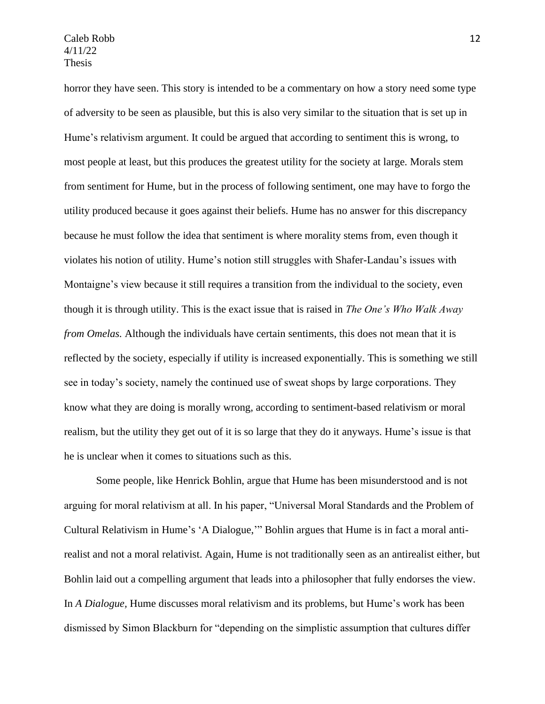horror they have seen. This story is intended to be a commentary on how a story need some type of adversity to be seen as plausible, but this is also very similar to the situation that is set up in Hume's relativism argument. It could be argued that according to sentiment this is wrong, to most people at least, but this produces the greatest utility for the society at large. Morals stem from sentiment for Hume, but in the process of following sentiment, one may have to forgo the utility produced because it goes against their beliefs. Hume has no answer for this discrepancy because he must follow the idea that sentiment is where morality stems from, even though it violates his notion of utility. Hume's notion still struggles with Shafer-Landau's issues with Montaigne's view because it still requires a transition from the individual to the society, even though it is through utility. This is the exact issue that is raised in *The One's Who Walk Away from Omelas.* Although the individuals have certain sentiments, this does not mean that it is reflected by the society, especially if utility is increased exponentially. This is something we still see in today's society, namely the continued use of sweat shops by large corporations. They know what they are doing is morally wrong, according to sentiment-based relativism or moral realism, but the utility they get out of it is so large that they do it anyways. Hume's issue is that he is unclear when it comes to situations such as this.

Some people, like Henrick Bohlin, argue that Hume has been misunderstood and is not arguing for moral relativism at all. In his paper, "Universal Moral Standards and the Problem of Cultural Relativism in Hume's 'A Dialogue,'" Bohlin argues that Hume is in fact a moral antirealist and not a moral relativist. Again, Hume is not traditionally seen as an antirealist either, but Bohlin laid out a compelling argument that leads into a philosopher that fully endorses the view. In *A Dialogue,* Hume discusses moral relativism and its problems, but Hume's work has been dismissed by Simon Blackburn for "depending on the simplistic assumption that cultures differ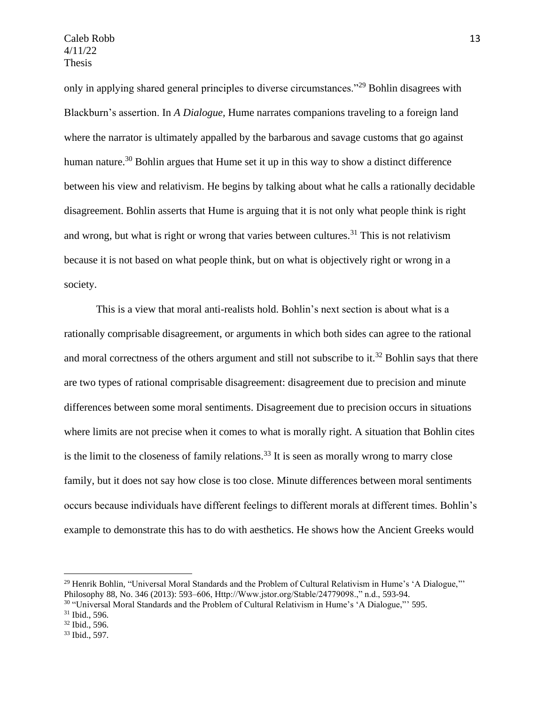only in applying shared general principles to diverse circumstances."<sup>29</sup> Bohlin disagrees with Blackburn's assertion. In *A Dialogue,* Hume narrates companions traveling to a foreign land where the narrator is ultimately appalled by the barbarous and savage customs that go against human nature.<sup>30</sup> Bohlin argues that Hume set it up in this way to show a distinct difference between his view and relativism. He begins by talking about what he calls a rationally decidable disagreement. Bohlin asserts that Hume is arguing that it is not only what people think is right and wrong, but what is right or wrong that varies between cultures.<sup>31</sup> This is not relativism because it is not based on what people think, but on what is objectively right or wrong in a society.

This is a view that moral anti-realists hold. Bohlin's next section is about what is a rationally comprisable disagreement, or arguments in which both sides can agree to the rational and moral correctness of the others argument and still not subscribe to it.<sup>32</sup> Bohlin says that there are two types of rational comprisable disagreement: disagreement due to precision and minute differences between some moral sentiments. Disagreement due to precision occurs in situations where limits are not precise when it comes to what is morally right. A situation that Bohlin cites is the limit to the closeness of family relations.<sup>33</sup> It is seen as morally wrong to marry close family, but it does not say how close is too close. Minute differences between moral sentiments occurs because individuals have different feelings to different morals at different times. Bohlin's example to demonstrate this has to do with aesthetics. He shows how the Ancient Greeks would

<sup>&</sup>lt;sup>29</sup> Henrik Bohlin, "Universal Moral Standards and the Problem of Cultural Relativism in Hume's 'A Dialogue,"' Philosophy 88, No. 346 (2013): 593–606, Http://Www.jstor.org/Stable/24779098.," n.d., 593-94.

 $30$  "Universal Moral Standards and the Problem of Cultural Relativism in Hume's 'A Dialogue,"' 595.

 $31$  Ibid., 596.

<sup>32</sup> Ibid., 596.

<sup>33</sup> Ibid., 597.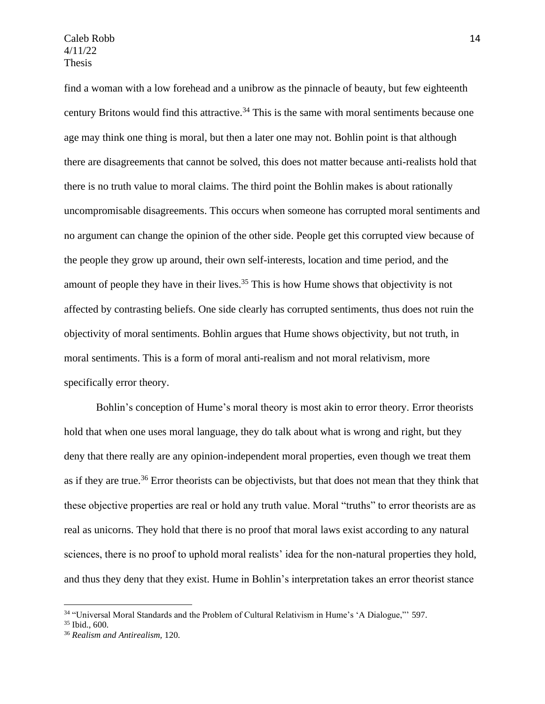find a woman with a low forehead and a unibrow as the pinnacle of beauty, but few eighteenth century Britons would find this attractive.<sup>34</sup> This is the same with moral sentiments because one age may think one thing is moral, but then a later one may not. Bohlin point is that although there are disagreements that cannot be solved, this does not matter because anti-realists hold that there is no truth value to moral claims. The third point the Bohlin makes is about rationally uncompromisable disagreements. This occurs when someone has corrupted moral sentiments and no argument can change the opinion of the other side. People get this corrupted view because of the people they grow up around, their own self-interests, location and time period, and the amount of people they have in their lives.<sup>35</sup> This is how Hume shows that objectivity is not affected by contrasting beliefs. One side clearly has corrupted sentiments, thus does not ruin the objectivity of moral sentiments. Bohlin argues that Hume shows objectivity, but not truth, in moral sentiments. This is a form of moral anti-realism and not moral relativism, more specifically error theory.

Bohlin's conception of Hume's moral theory is most akin to error theory. Error theorists hold that when one uses moral language, they do talk about what is wrong and right, but they deny that there really are any opinion-independent moral properties, even though we treat them as if they are true.<sup>36</sup> Error theorists can be objectivists, but that does not mean that they think that these objective properties are real or hold any truth value. Moral "truths" to error theorists are as real as unicorns. They hold that there is no proof that moral laws exist according to any natural sciences, there is no proof to uphold moral realists' idea for the non-natural properties they hold, and thus they deny that they exist. Hume in Bohlin's interpretation takes an error theorist stance

<sup>34</sup> "Universal Moral Standards and the Problem of Cultural Relativism in Hume's 'A Dialogue,"' 597.

<sup>35</sup> Ibid., 600.

<sup>36</sup> *Realism and Antirealism,* 120.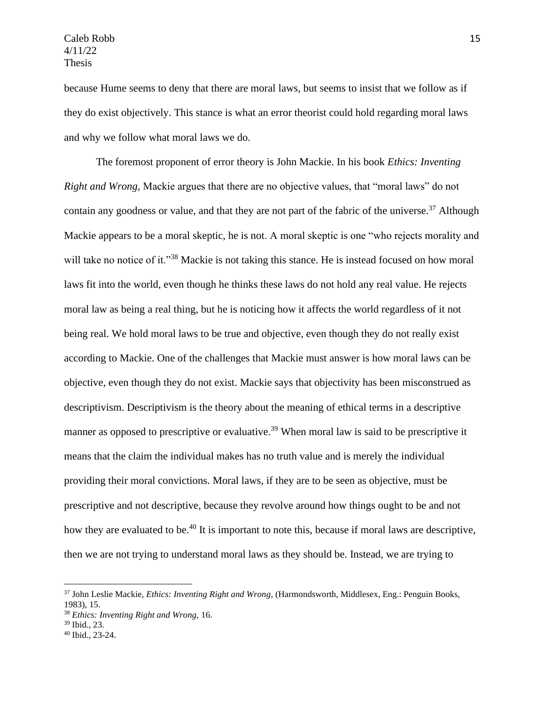because Hume seems to deny that there are moral laws, but seems to insist that we follow as if they do exist objectively. This stance is what an error theorist could hold regarding moral laws and why we follow what moral laws we do.

The foremost proponent of error theory is John Mackie. In his book *Ethics: Inventing Right and Wrong,* Mackie argues that there are no objective values, that "moral laws" do not contain any goodness or value, and that they are not part of the fabric of the universe.<sup>37</sup> Although Mackie appears to be a moral skeptic, he is not. A moral skeptic is one "who rejects morality and will take no notice of it."<sup>38</sup> Mackie is not taking this stance. He is instead focused on how moral laws fit into the world, even though he thinks these laws do not hold any real value. He rejects moral law as being a real thing, but he is noticing how it affects the world regardless of it not being real. We hold moral laws to be true and objective, even though they do not really exist according to Mackie. One of the challenges that Mackie must answer is how moral laws can be objective, even though they do not exist. Mackie says that objectivity has been misconstrued as descriptivism. Descriptivism is the theory about the meaning of ethical terms in a descriptive manner as opposed to prescriptive or evaluative.<sup>39</sup> When moral law is said to be prescriptive it means that the claim the individual makes has no truth value and is merely the individual providing their moral convictions. Moral laws, if they are to be seen as objective, must be prescriptive and not descriptive, because they revolve around how things ought to be and not how they are evaluated to be.<sup>40</sup> It is important to note this, because if moral laws are descriptive, then we are not trying to understand moral laws as they should be. Instead, we are trying to

<sup>37</sup> John Leslie Mackie, *Ethics: Inventing Right and Wrong,* (Harmondsworth, Middlesex, Eng.: Penguin Books, 1983), 15.

<sup>38</sup> *Ethics: Inventing Right and Wrong,* 16.

<sup>39</sup> Ibid., 23.

<sup>40</sup> Ibid., 23-24.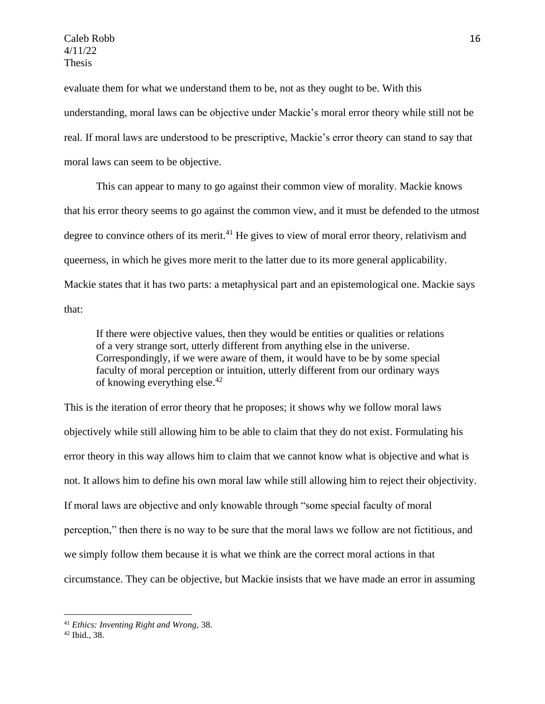evaluate them for what we understand them to be, not as they ought to be. With this understanding, moral laws can be objective under Mackie's moral error theory while still not be real. If moral laws are understood to be prescriptive, Mackie's error theory can stand to say that moral laws can seem to be objective.

This can appear to many to go against their common view of morality. Mackie knows that his error theory seems to go against the common view, and it must be defended to the utmost degree to convince others of its merit.<sup>41</sup> He gives to view of moral error theory, relativism and queerness, in which he gives more merit to the latter due to its more general applicability. Mackie states that it has two parts: a metaphysical part and an epistemological one. Mackie says that:

If there were objective values, then they would be entities or qualities or relations of a very strange sort, utterly different from anything else in the universe. Correspondingly, if we were aware of them, it would have to be by some special faculty of moral perception or intuition, utterly different from our ordinary ways of knowing everything else.<sup>42</sup>

This is the iteration of error theory that he proposes; it shows why we follow moral laws objectively while still allowing him to be able to claim that they do not exist. Formulating his error theory in this way allows him to claim that we cannot know what is objective and what is not. It allows him to define his own moral law while still allowing him to reject their objectivity. If moral laws are objective and only knowable through "some special faculty of moral perception," then there is no way to be sure that the moral laws we follow are not fictitious, and we simply follow them because it is what we think are the correct moral actions in that circumstance. They can be objective, but Mackie insists that we have made an error in assuming

<sup>41</sup> *Ethics: Inventing Right and Wrong,* 38.

<sup>42</sup> Ibid., 38.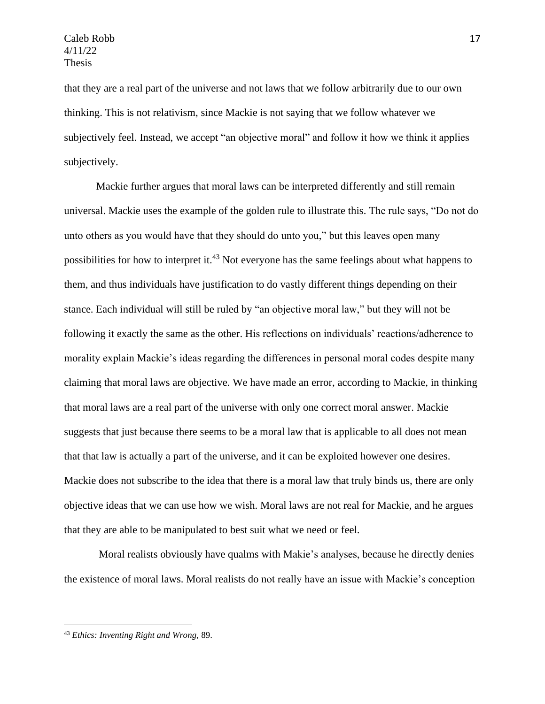that they are a real part of the universe and not laws that we follow arbitrarily due to our own thinking. This is not relativism, since Mackie is not saying that we follow whatever we subjectively feel. Instead, we accept "an objective moral" and follow it how we think it applies subjectively.

Mackie further argues that moral laws can be interpreted differently and still remain universal. Mackie uses the example of the golden rule to illustrate this. The rule says, "Do not do unto others as you would have that they should do unto you," but this leaves open many possibilities for how to interpret it.<sup>43</sup> Not everyone has the same feelings about what happens to them, and thus individuals have justification to do vastly different things depending on their stance. Each individual will still be ruled by "an objective moral law," but they will not be following it exactly the same as the other. His reflections on individuals' reactions/adherence to morality explain Mackie's ideas regarding the differences in personal moral codes despite many claiming that moral laws are objective. We have made an error, according to Mackie, in thinking that moral laws are a real part of the universe with only one correct moral answer. Mackie suggests that just because there seems to be a moral law that is applicable to all does not mean that that law is actually a part of the universe, and it can be exploited however one desires. Mackie does not subscribe to the idea that there is a moral law that truly binds us, there are only objective ideas that we can use how we wish. Moral laws are not real for Mackie, and he argues that they are able to be manipulated to best suit what we need or feel.

Moral realists obviously have qualms with Makie's analyses, because he directly denies the existence of moral laws. Moral realists do not really have an issue with Mackie's conception

<sup>43</sup> *Ethics: Inventing Right and Wrong,* 89.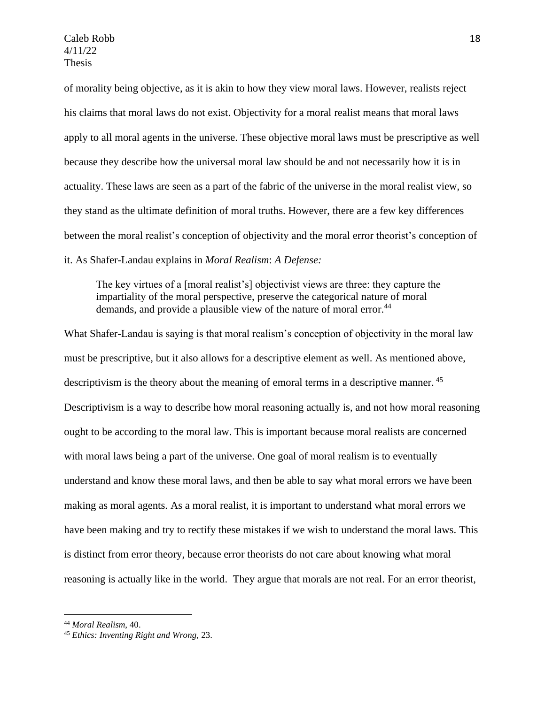of morality being objective, as it is akin to how they view moral laws. However, realists reject his claims that moral laws do not exist. Objectivity for a moral realist means that moral laws apply to all moral agents in the universe. These objective moral laws must be prescriptive as well because they describe how the universal moral law should be and not necessarily how it is in actuality. These laws are seen as a part of the fabric of the universe in the moral realist view, so they stand as the ultimate definition of moral truths. However, there are a few key differences between the moral realist's conception of objectivity and the moral error theorist's conception of it. As Shafer-Landau explains in *Moral Realism*: *A Defense:*

The key virtues of a [moral realist's] objectivist views are three: they capture the impartiality of the moral perspective, preserve the categorical nature of moral demands, and provide a plausible view of the nature of moral error.<sup>44</sup>

What Shafer-Landau is saying is that moral realism's conception of objectivity in the moral law must be prescriptive, but it also allows for a descriptive element as well. As mentioned above, descriptivism is the theory about the meaning of emoral terms in a descriptive manner.<sup>45</sup> Descriptivism is a way to describe how moral reasoning actually is, and not how moral reasoning ought to be according to the moral law. This is important because moral realists are concerned with moral laws being a part of the universe. One goal of moral realism is to eventually understand and know these moral laws, and then be able to say what moral errors we have been making as moral agents. As a moral realist, it is important to understand what moral errors we have been making and try to rectify these mistakes if we wish to understand the moral laws. This is distinct from error theory, because error theorists do not care about knowing what moral reasoning is actually like in the world. They argue that morals are not real. For an error theorist,

<sup>44</sup> *Moral Realism*, 40.

<sup>45</sup> *Ethics: Inventing Right and Wrong,* 23.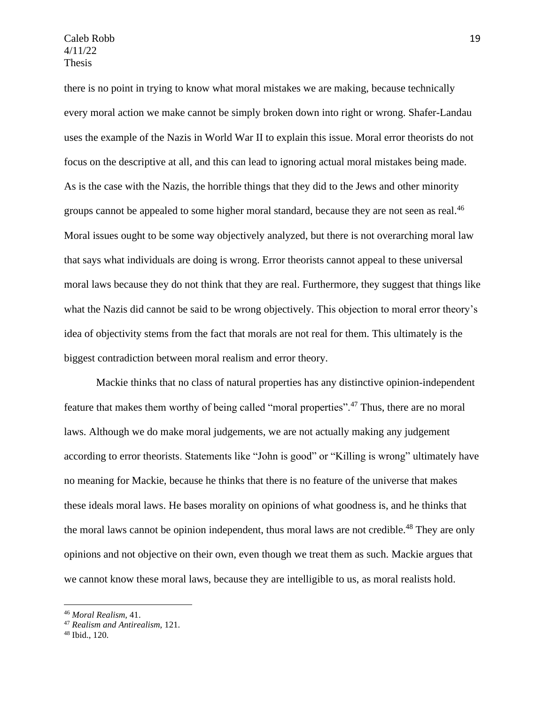there is no point in trying to know what moral mistakes we are making, because technically every moral action we make cannot be simply broken down into right or wrong. Shafer-Landau uses the example of the Nazis in World War II to explain this issue. Moral error theorists do not focus on the descriptive at all, and this can lead to ignoring actual moral mistakes being made. As is the case with the Nazis, the horrible things that they did to the Jews and other minority groups cannot be appealed to some higher moral standard, because they are not seen as real.<sup>46</sup> Moral issues ought to be some way objectively analyzed, but there is not overarching moral law that says what individuals are doing is wrong. Error theorists cannot appeal to these universal moral laws because they do not think that they are real. Furthermore, they suggest that things like what the Nazis did cannot be said to be wrong objectively. This objection to moral error theory's idea of objectivity stems from the fact that morals are not real for them. This ultimately is the biggest contradiction between moral realism and error theory.

Mackie thinks that no class of natural properties has any distinctive opinion-independent feature that makes them worthy of being called "moral properties".<sup>47</sup> Thus, there are no moral laws. Although we do make moral judgements, we are not actually making any judgement according to error theorists. Statements like "John is good" or "Killing is wrong" ultimately have no meaning for Mackie, because he thinks that there is no feature of the universe that makes these ideals moral laws. He bases morality on opinions of what goodness is, and he thinks that the moral laws cannot be opinion independent, thus moral laws are not credible.<sup>48</sup> They are only opinions and not objective on their own, even though we treat them as such. Mackie argues that we cannot know these moral laws, because they are intelligible to us, as moral realists hold.

<sup>46</sup> *Moral Realism,* 41.

<sup>47</sup> *Realism and Antirealism*, 121.

<sup>48</sup> Ibid., 120.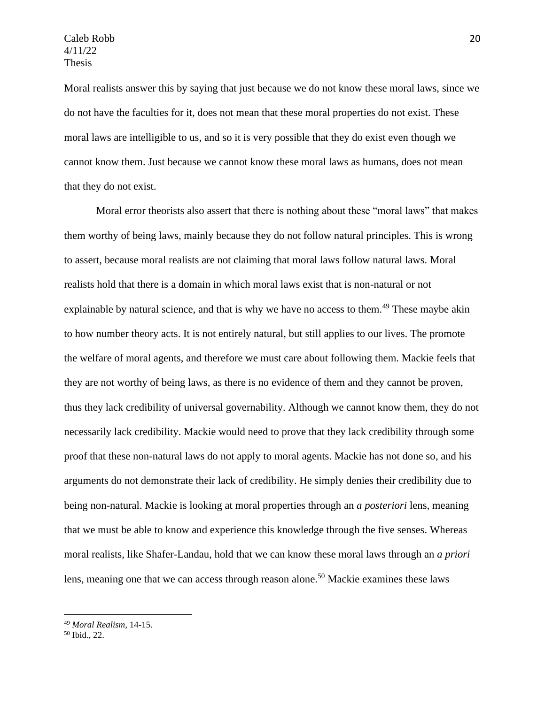Moral realists answer this by saying that just because we do not know these moral laws, since we do not have the faculties for it, does not mean that these moral properties do not exist. These moral laws are intelligible to us, and so it is very possible that they do exist even though we cannot know them. Just because we cannot know these moral laws as humans, does not mean that they do not exist.

Moral error theorists also assert that there is nothing about these "moral laws" that makes them worthy of being laws, mainly because they do not follow natural principles. This is wrong to assert, because moral realists are not claiming that moral laws follow natural laws. Moral realists hold that there is a domain in which moral laws exist that is non-natural or not explainable by natural science, and that is why we have no access to them.<sup>49</sup> These maybe akin to how number theory acts. It is not entirely natural, but still applies to our lives. The promote the welfare of moral agents, and therefore we must care about following them. Mackie feels that they are not worthy of being laws, as there is no evidence of them and they cannot be proven, thus they lack credibility of universal governability. Although we cannot know them, they do not necessarily lack credibility. Mackie would need to prove that they lack credibility through some proof that these non-natural laws do not apply to moral agents. Mackie has not done so, and his arguments do not demonstrate their lack of credibility. He simply denies their credibility due to being non-natural. Mackie is looking at moral properties through an *a posteriori* lens, meaning that we must be able to know and experience this knowledge through the five senses. Whereas moral realists, like Shafer-Landau, hold that we can know these moral laws through an *a priori*  lens, meaning one that we can access through reason alone.<sup>50</sup> Mackie examines these laws

<sup>49</sup> *Moral Realism*, 14-15.

<sup>50</sup> Ibid., 22.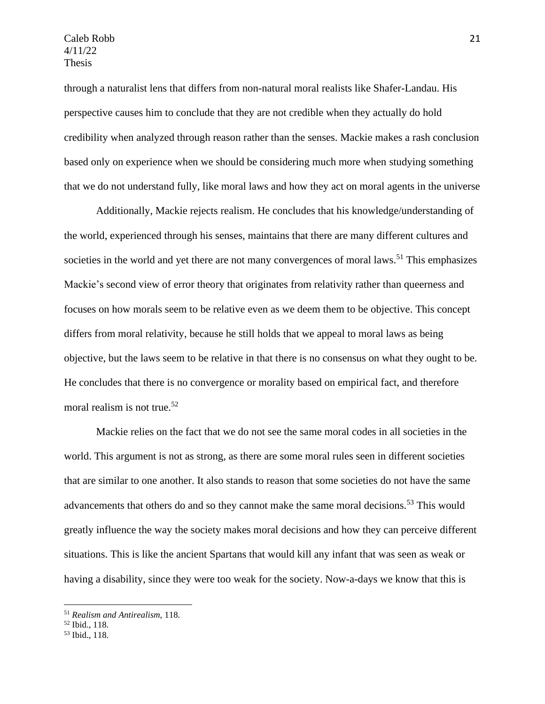through a naturalist lens that differs from non-natural moral realists like Shafer-Landau. His perspective causes him to conclude that they are not credible when they actually do hold credibility when analyzed through reason rather than the senses. Mackie makes a rash conclusion based only on experience when we should be considering much more when studying something that we do not understand fully, like moral laws and how they act on moral agents in the universe

Additionally, Mackie rejects realism. He concludes that his knowledge/understanding of the world, experienced through his senses, maintains that there are many different cultures and societies in the world and yet there are not many convergences of moral laws.<sup>51</sup> This emphasizes Mackie's second view of error theory that originates from relativity rather than queerness and focuses on how morals seem to be relative even as we deem them to be objective. This concept differs from moral relativity, because he still holds that we appeal to moral laws as being objective, but the laws seem to be relative in that there is no consensus on what they ought to be. He concludes that there is no convergence or morality based on empirical fact, and therefore moral realism is not true.<sup>52</sup>

Mackie relies on the fact that we do not see the same moral codes in all societies in the world. This argument is not as strong, as there are some moral rules seen in different societies that are similar to one another. It also stands to reason that some societies do not have the same advancements that others do and so they cannot make the same moral decisions.<sup>53</sup> This would greatly influence the way the society makes moral decisions and how they can perceive different situations. This is like the ancient Spartans that would kill any infant that was seen as weak or having a disability, since they were too weak for the society. Now-a-days we know that this is

<sup>51</sup> *Realism and Antirealism*, 118.

<sup>52</sup> Ibid., 118.

<sup>53</sup> Ibid., 118.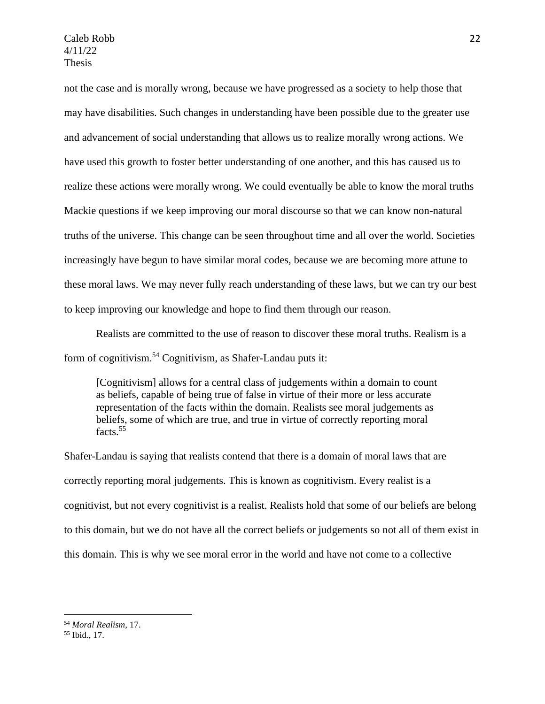not the case and is morally wrong, because we have progressed as a society to help those that may have disabilities. Such changes in understanding have been possible due to the greater use and advancement of social understanding that allows us to realize morally wrong actions. We have used this growth to foster better understanding of one another, and this has caused us to realize these actions were morally wrong. We could eventually be able to know the moral truths Mackie questions if we keep improving our moral discourse so that we can know non-natural truths of the universe. This change can be seen throughout time and all over the world. Societies increasingly have begun to have similar moral codes, because we are becoming more attune to these moral laws. We may never fully reach understanding of these laws, but we can try our best to keep improving our knowledge and hope to find them through our reason.

Realists are committed to the use of reason to discover these moral truths. Realism is a form of cognitivism.<sup>54</sup> Cognitivism, as Shafer-Landau puts it:

[Cognitivism] allows for a central class of judgements within a domain to count as beliefs, capable of being true of false in virtue of their more or less accurate representation of the facts within the domain. Realists see moral judgements as beliefs, some of which are true, and true in virtue of correctly reporting moral facts.<sup>55</sup>

Shafer-Landau is saying that realists contend that there is a domain of moral laws that are correctly reporting moral judgements. This is known as cognitivism. Every realist is a cognitivist, but not every cognitivist is a realist. Realists hold that some of our beliefs are belong to this domain, but we do not have all the correct beliefs or judgements so not all of them exist in this domain. This is why we see moral error in the world and have not come to a collective

<sup>54</sup> *Moral Realism*, 17.

<sup>55</sup> Ibid., 17.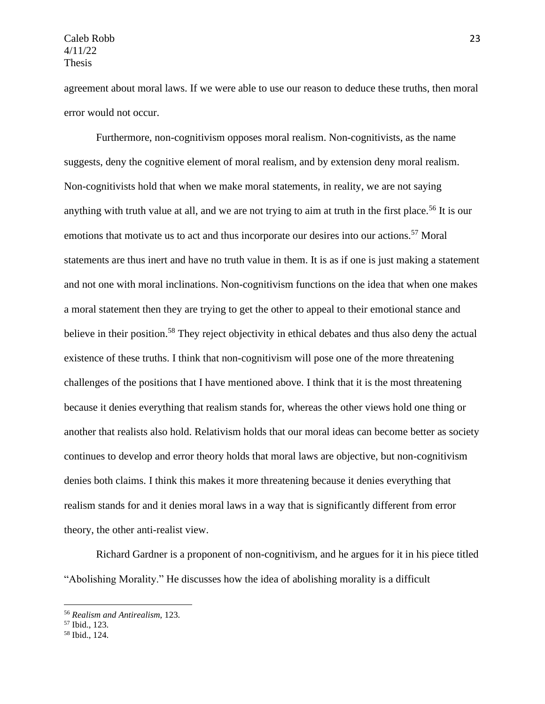agreement about moral laws. If we were able to use our reason to deduce these truths, then moral error would not occur.

Furthermore, non-cognitivism opposes moral realism. Non-cognitivists, as the name suggests, deny the cognitive element of moral realism, and by extension deny moral realism. Non-cognitivists hold that when we make moral statements, in reality, we are not saying anything with truth value at all, and we are not trying to aim at truth in the first place.<sup>56</sup> It is our emotions that motivate us to act and thus incorporate our desires into our actions.<sup>57</sup> Moral statements are thus inert and have no truth value in them. It is as if one is just making a statement and not one with moral inclinations. Non-cognitivism functions on the idea that when one makes a moral statement then they are trying to get the other to appeal to their emotional stance and believe in their position.<sup>58</sup> They reject objectivity in ethical debates and thus also deny the actual existence of these truths. I think that non-cognitivism will pose one of the more threatening challenges of the positions that I have mentioned above. I think that it is the most threatening because it denies everything that realism stands for, whereas the other views hold one thing or another that realists also hold. Relativism holds that our moral ideas can become better as society continues to develop and error theory holds that moral laws are objective, but non-cognitivism denies both claims. I think this makes it more threatening because it denies everything that realism stands for and it denies moral laws in a way that is significantly different from error theory, the other anti-realist view.

Richard Gardner is a proponent of non-cognitivism, and he argues for it in his piece titled "Abolishing Morality." He discusses how the idea of abolishing morality is a difficult

<sup>56</sup> *Realism and Antirealism*, 123.

<sup>57</sup> Ibid., 123.

<sup>58</sup> Ibid., 124.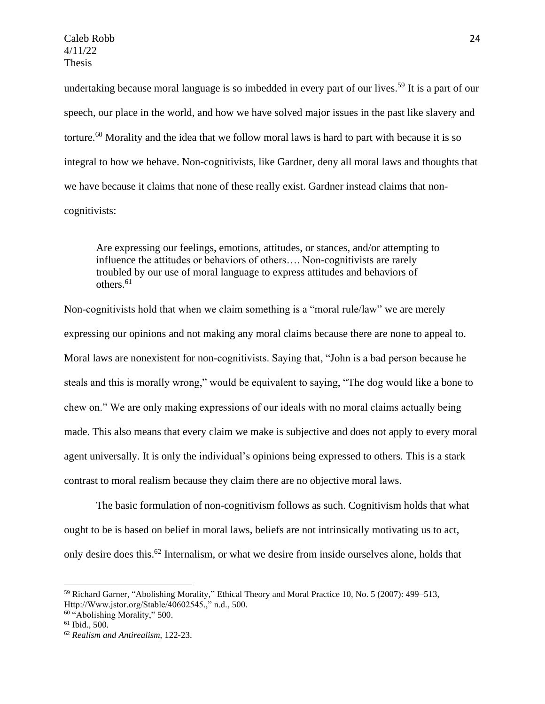undertaking because moral language is so imbedded in every part of our lives.<sup>59</sup> It is a part of our speech, our place in the world, and how we have solved major issues in the past like slavery and torture.<sup>60</sup> Morality and the idea that we follow moral laws is hard to part with because it is so integral to how we behave. Non-cognitivists, like Gardner, deny all moral laws and thoughts that we have because it claims that none of these really exist. Gardner instead claims that noncognitivists:

Are expressing our feelings, emotions, attitudes, or stances, and/or attempting to influence the attitudes or behaviors of others…. Non-cognitivists are rarely troubled by our use of moral language to express attitudes and behaviors of others. $61$ 

Non-cognitivists hold that when we claim something is a "moral rule/law" we are merely expressing our opinions and not making any moral claims because there are none to appeal to. Moral laws are nonexistent for non-cognitivists. Saying that, "John is a bad person because he steals and this is morally wrong," would be equivalent to saying, "The dog would like a bone to chew on." We are only making expressions of our ideals with no moral claims actually being made. This also means that every claim we make is subjective and does not apply to every moral agent universally. It is only the individual's opinions being expressed to others. This is a stark contrast to moral realism because they claim there are no objective moral laws.

The basic formulation of non-cognitivism follows as such. Cognitivism holds that what ought to be is based on belief in moral laws, beliefs are not intrinsically motivating us to act, only desire does this.<sup>62</sup> Internalism, or what we desire from inside ourselves alone, holds that

<sup>59</sup> Richard Garner, "Abolishing Morality," Ethical Theory and Moral Practice 10, No. 5 (2007): 499–513, Http://Www.jstor.org/Stable/40602545.," n.d., 500.

<sup>60</sup> "Abolishing Morality," 500.

 $61$  Ibid., 500.

<sup>62</sup> *Realism and Antirealism*, 122-23.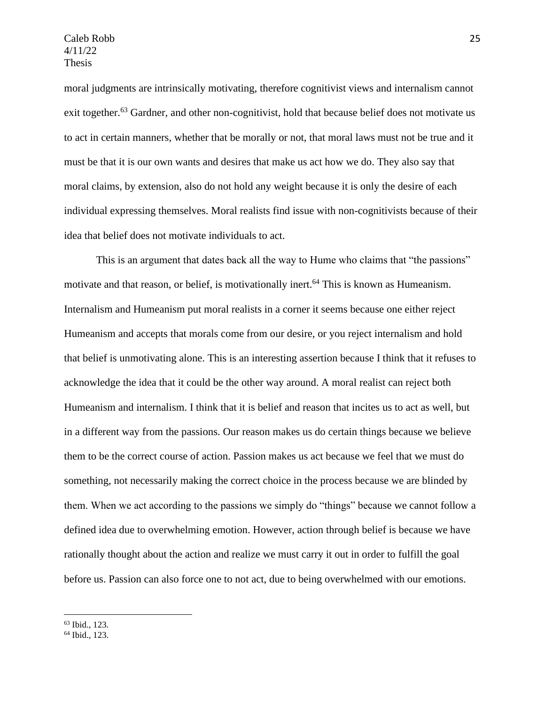moral judgments are intrinsically motivating, therefore cognitivist views and internalism cannot exit together.<sup>63</sup> Gardner, and other non-cognitivist, hold that because belief does not motivate us to act in certain manners, whether that be morally or not, that moral laws must not be true and it must be that it is our own wants and desires that make us act how we do. They also say that moral claims, by extension, also do not hold any weight because it is only the desire of each individual expressing themselves. Moral realists find issue with non-cognitivists because of their idea that belief does not motivate individuals to act.

This is an argument that dates back all the way to Hume who claims that "the passions" motivate and that reason, or belief, is motivationally inert.<sup>64</sup> This is known as Humeanism. Internalism and Humeanism put moral realists in a corner it seems because one either reject Humeanism and accepts that morals come from our desire, or you reject internalism and hold that belief is unmotivating alone. This is an interesting assertion because I think that it refuses to acknowledge the idea that it could be the other way around. A moral realist can reject both Humeanism and internalism. I think that it is belief and reason that incites us to act as well, but in a different way from the passions. Our reason makes us do certain things because we believe them to be the correct course of action. Passion makes us act because we feel that we must do something, not necessarily making the correct choice in the process because we are blinded by them. When we act according to the passions we simply do "things" because we cannot follow a defined idea due to overwhelming emotion. However, action through belief is because we have rationally thought about the action and realize we must carry it out in order to fulfill the goal before us. Passion can also force one to not act, due to being overwhelmed with our emotions.

<sup>64</sup> Ibid., 123.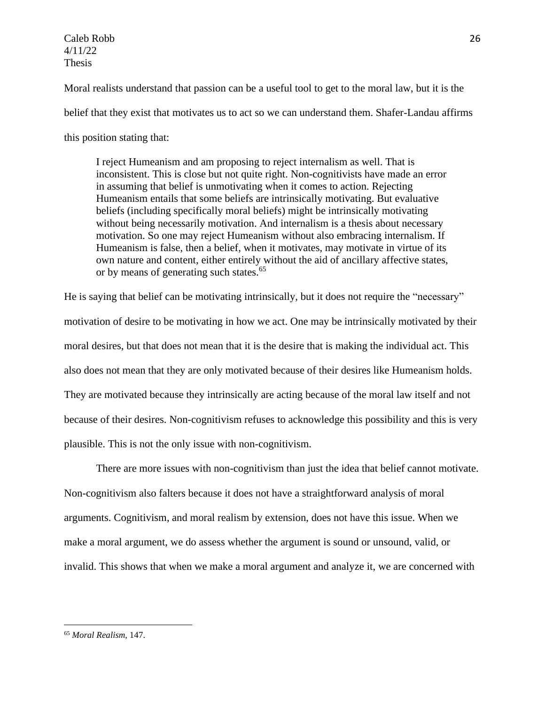Moral realists understand that passion can be a useful tool to get to the moral law, but it is the belief that they exist that motivates us to act so we can understand them. Shafer-Landau affirms this position stating that:

I reject Humeanism and am proposing to reject internalism as well. That is inconsistent. This is close but not quite right. Non-cognitivists have made an error in assuming that belief is unmotivating when it comes to action. Rejecting Humeanism entails that some beliefs are intrinsically motivating. But evaluative beliefs (including specifically moral beliefs) might be intrinsically motivating without being necessarily motivation. And internalism is a thesis about necessary motivation. So one may reject Humeanism without also embracing internalism. If Humeanism is false, then a belief, when it motivates, may motivate in virtue of its own nature and content, either entirely without the aid of ancillary affective states, or by means of generating such states.<sup>65</sup>

He is saying that belief can be motivating intrinsically, but it does not require the "necessary" motivation of desire to be motivating in how we act. One may be intrinsically motivated by their moral desires, but that does not mean that it is the desire that is making the individual act. This also does not mean that they are only motivated because of their desires like Humeanism holds. They are motivated because they intrinsically are acting because of the moral law itself and not because of their desires. Non-cognitivism refuses to acknowledge this possibility and this is very plausible. This is not the only issue with non-cognitivism.

There are more issues with non-cognitivism than just the idea that belief cannot motivate. Non-cognitivism also falters because it does not have a straightforward analysis of moral arguments. Cognitivism, and moral realism by extension, does not have this issue. When we make a moral argument, we do assess whether the argument is sound or unsound, valid, or invalid. This shows that when we make a moral argument and analyze it, we are concerned with

<sup>65</sup> *Moral Realism*, 147.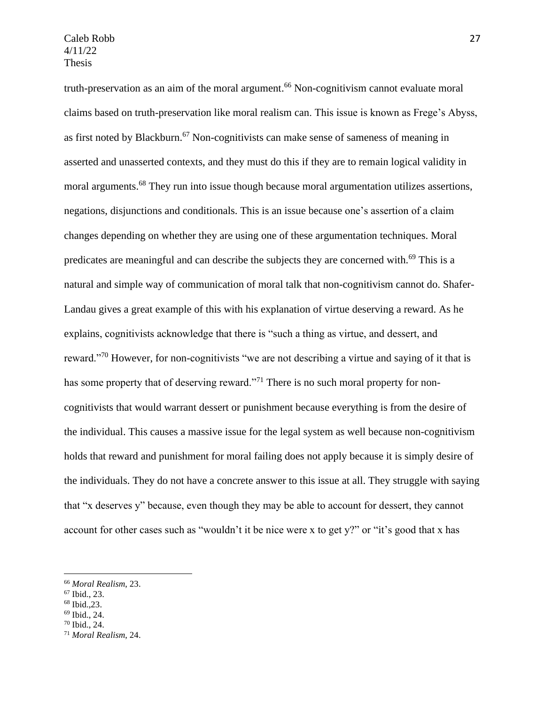truth-preservation as an aim of the moral argument.<sup>66</sup> Non-cognitivism cannot evaluate moral claims based on truth-preservation like moral realism can. This issue is known as Frege's Abyss, as first noted by Blackburn.<sup>67</sup> Non-cognitivists can make sense of sameness of meaning in asserted and unasserted contexts, and they must do this if they are to remain logical validity in moral arguments.<sup>68</sup> They run into issue though because moral argumentation utilizes assertions, negations, disjunctions and conditionals. This is an issue because one's assertion of a claim changes depending on whether they are using one of these argumentation techniques. Moral predicates are meaningful and can describe the subjects they are concerned with.<sup>69</sup> This is a natural and simple way of communication of moral talk that non-cognitivism cannot do. Shafer-Landau gives a great example of this with his explanation of virtue deserving a reward. As he explains, cognitivists acknowledge that there is "such a thing as virtue, and dessert, and reward."<sup>70</sup> However, for non-cognitivists "we are not describing a virtue and saying of it that is has some property that of deserving reward."<sup>71</sup> There is no such moral property for noncognitivists that would warrant dessert or punishment because everything is from the desire of the individual. This causes a massive issue for the legal system as well because non-cognitivism holds that reward and punishment for moral failing does not apply because it is simply desire of the individuals. They do not have a concrete answer to this issue at all. They struggle with saying that "x deserves y" because, even though they may be able to account for dessert, they cannot account for other cases such as "wouldn't it be nice were x to get y?" or "it's good that x has

<sup>68</sup> Ibid.,23.

<sup>66</sup> *Moral Realism*, 23.

<sup>67</sup> Ibid., 23.

<sup>69</sup> Ibid., 24.

<sup>70</sup> Ibid., 24.

<sup>71</sup> *Moral Realism*, 24.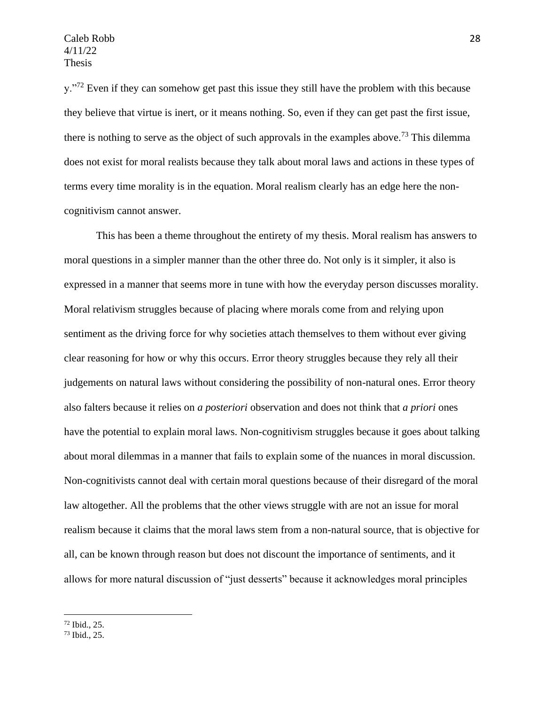y."<sup>72</sup> Even if they can somehow get past this issue they still have the problem with this because they believe that virtue is inert, or it means nothing. So, even if they can get past the first issue, there is nothing to serve as the object of such approvals in the examples above.<sup>73</sup> This dilemma does not exist for moral realists because they talk about moral laws and actions in these types of terms every time morality is in the equation. Moral realism clearly has an edge here the noncognitivism cannot answer.

This has been a theme throughout the entirety of my thesis. Moral realism has answers to moral questions in a simpler manner than the other three do. Not only is it simpler, it also is expressed in a manner that seems more in tune with how the everyday person discusses morality. Moral relativism struggles because of placing where morals come from and relying upon sentiment as the driving force for why societies attach themselves to them without ever giving clear reasoning for how or why this occurs. Error theory struggles because they rely all their judgements on natural laws without considering the possibility of non-natural ones. Error theory also falters because it relies on *a posteriori* observation and does not think that *a priori* ones have the potential to explain moral laws. Non-cognitivism struggles because it goes about talking about moral dilemmas in a manner that fails to explain some of the nuances in moral discussion. Non-cognitivists cannot deal with certain moral questions because of their disregard of the moral law altogether. All the problems that the other views struggle with are not an issue for moral realism because it claims that the moral laws stem from a non-natural source, that is objective for all, can be known through reason but does not discount the importance of sentiments, and it allows for more natural discussion of "just desserts" because it acknowledges moral principles

<sup>72</sup> Ibid., 25.

<sup>73</sup> Ibid., 25.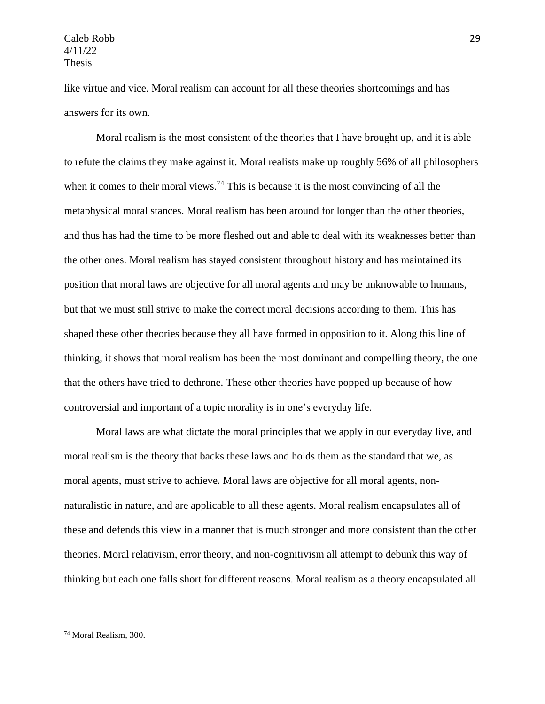like virtue and vice. Moral realism can account for all these theories shortcomings and has answers for its own.

Moral realism is the most consistent of the theories that I have brought up, and it is able to refute the claims they make against it. Moral realists make up roughly 56% of all philosophers when it comes to their moral views.<sup>74</sup> This is because it is the most convincing of all the metaphysical moral stances. Moral realism has been around for longer than the other theories, and thus has had the time to be more fleshed out and able to deal with its weaknesses better than the other ones. Moral realism has stayed consistent throughout history and has maintained its position that moral laws are objective for all moral agents and may be unknowable to humans, but that we must still strive to make the correct moral decisions according to them. This has shaped these other theories because they all have formed in opposition to it. Along this line of thinking, it shows that moral realism has been the most dominant and compelling theory, the one that the others have tried to dethrone. These other theories have popped up because of how controversial and important of a topic morality is in one's everyday life.

Moral laws are what dictate the moral principles that we apply in our everyday live, and moral realism is the theory that backs these laws and holds them as the standard that we, as moral agents, must strive to achieve. Moral laws are objective for all moral agents, nonnaturalistic in nature, and are applicable to all these agents. Moral realism encapsulates all of these and defends this view in a manner that is much stronger and more consistent than the other theories. Moral relativism, error theory, and non-cognitivism all attempt to debunk this way of thinking but each one falls short for different reasons. Moral realism as a theory encapsulated all

<sup>74</sup> Moral Realism, 300.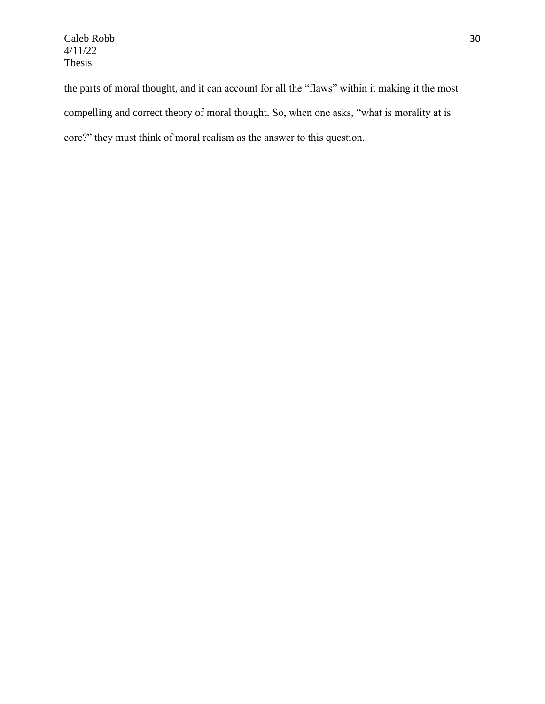the parts of moral thought, and it can account for all the "flaws" within it making it the most compelling and correct theory of moral thought. So, when one asks, "what is morality at is core?" they must think of moral realism as the answer to this question.